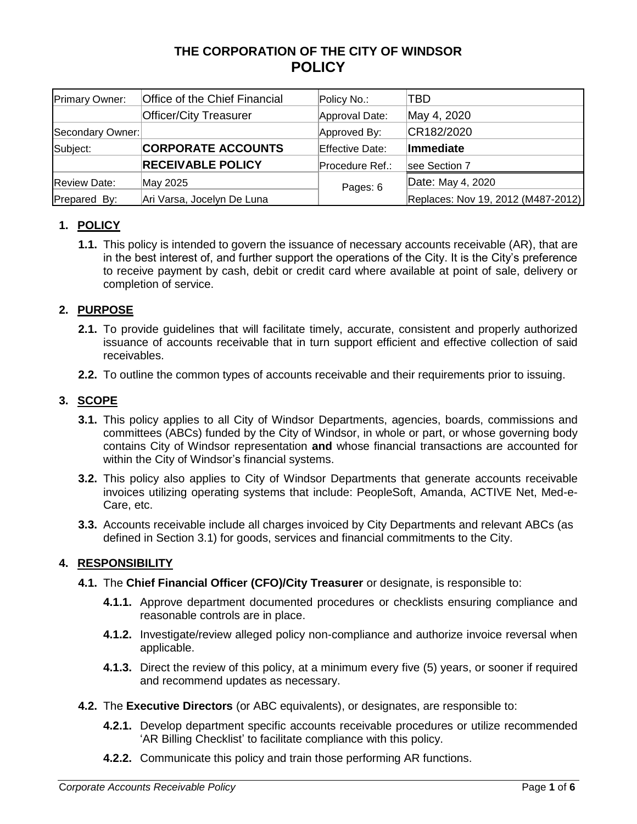# **THE CORPORATION OF THE CITY OF WINDSOR POLICY**

| Primary Owner:      | Office of the Chief Financial | Policy No.:     | TBD                                |
|---------------------|-------------------------------|-----------------|------------------------------------|
|                     | <b>Officer/City Treasurer</b> | Approval Date:  | May 4, 2020                        |
| Secondary Owner:    |                               | Approved By:    | CR182/2020                         |
| Subject:            | <b>CORPORATE ACCOUNTS</b>     | Effective Date: | Immediate                          |
|                     | <b>RECEIVABLE POLICY</b>      | Procedure Ref.: | see Section 7                      |
| <b>Review Date:</b> | May 2025                      | Pages: 6        | Date: May 4, 2020                  |
| Prepared By:        | Ari Varsa, Jocelyn De Luna    |                 | Replaces: Nov 19, 2012 (M487-2012) |

# **1. POLICY**

**1.1.** This policy is intended to govern the issuance of necessary accounts receivable (AR), that are in the best interest of, and further support the operations of the City. It is the City's preference to receive payment by cash, debit or credit card where available at point of sale, delivery or completion of service.

# **2. PURPOSE**

- **2.1.** To provide guidelines that will facilitate timely, accurate, consistent and properly authorized issuance of accounts receivable that in turn support efficient and effective collection of said receivables.
- **2.2.** To outline the common types of accounts receivable and their requirements prior to issuing.

# **3. SCOPE**

- **3.1.** This policy applies to all City of Windsor Departments, agencies, boards, commissions and committees (ABCs) funded by the City of Windsor, in whole or part, or whose governing body contains City of Windsor representation **and** whose financial transactions are accounted for within the City of Windsor's financial systems.
- **3.2.** This policy also applies to City of Windsor Departments that generate accounts receivable invoices utilizing operating systems that include: PeopleSoft, Amanda, ACTIVE Net, Med-e-Care, etc.
- **3.3.** Accounts receivable include all charges invoiced by City Departments and relevant ABCs (as defined in Section 3.1) for goods, services and financial commitments to the City.

# **4. RESPONSIBILITY**

- **4.1.** The **Chief Financial Officer (CFO)/City Treasurer** or designate, is responsible to:
	- **4.1.1.** Approve department documented procedures or checklists ensuring compliance and reasonable controls are in place.
	- **4.1.2.** Investigate/review alleged policy non-compliance and authorize invoice reversal when applicable.
	- **4.1.3.** Direct the review of this policy, at a minimum every five (5) years, or sooner if required and recommend updates as necessary.
- **4.2.** The **Executive Directors** (or ABC equivalents), or designates, are responsible to:
	- **4.2.1.** Develop department specific accounts receivable procedures or utilize recommended 'AR Billing Checklist' to facilitate compliance with this policy.
	- **4.2.2.** Communicate this policy and train those performing AR functions.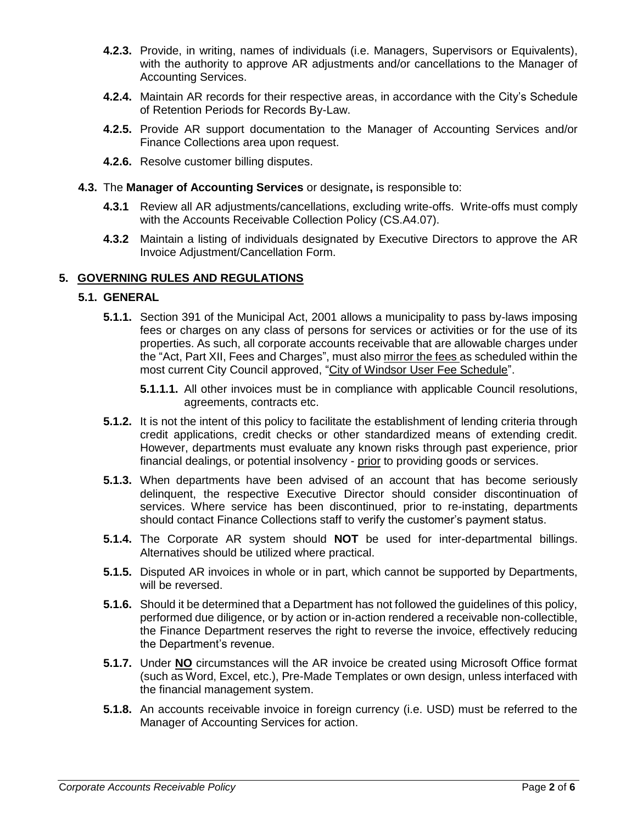- **4.2.3.** Provide, in writing, names of individuals (i.e. Managers, Supervisors or Equivalents), with the authority to approve AR adjustments and/or cancellations to the Manager of Accounting Services.
- **4.2.4.** Maintain AR records for their respective areas, in accordance with the City's Schedule of Retention Periods for Records By-Law.
- **4.2.5.** Provide AR support documentation to the Manager of Accounting Services and/or Finance Collections area upon request.
- **4.2.6.** Resolve customer billing disputes.
- **4.3.** The **Manager of Accounting Services** or designate**,** is responsible to:
	- **4.3.1** Review all AR adjustments/cancellations, excluding write-offs. Write-offs must comply with the Accounts Receivable Collection Policy (CS.A4.07).
	- **4.3.2** Maintain a listing of individuals designated by Executive Directors to approve the AR Invoice Adjustment/Cancellation Form.

## **5. GOVERNING RULES AND REGULATIONS**

#### **5.1. GENERAL**

- **5.1.1.** Section 391 of the Municipal Act, 2001 allows a municipality to pass by-laws imposing fees or charges on any class of persons for services or activities or for the use of its properties. As such, all corporate accounts receivable that are allowable charges under the "Act, Part XII, Fees and Charges", must also mirror the fees as scheduled within the most current City Council approved, "City of Windsor User Fee Schedule".
	- **5.1.1.1.** All other invoices must be in compliance with applicable Council resolutions, agreements, contracts etc.
- **5.1.2.** It is not the intent of this policy to facilitate the establishment of lending criteria through credit applications, credit checks or other standardized means of extending credit. However, departments must evaluate any known risks through past experience, prior financial dealings, or potential insolvency - prior to providing goods or services.
- **5.1.3.** When departments have been advised of an account that has become seriously delinquent, the respective Executive Director should consider discontinuation of services. Where service has been discontinued, prior to re-instating, departments should contact Finance Collections staff to verify the customer's payment status.
- **5.1.4.** The Corporate AR system should **NOT** be used for inter-departmental billings. Alternatives should be utilized where practical.
- **5.1.5.** Disputed AR invoices in whole or in part, which cannot be supported by Departments, will be reversed.
- **5.1.6.** Should it be determined that a Department has not followed the guidelines of this policy, performed due diligence, or by action or in-action rendered a receivable non-collectible, the Finance Department reserves the right to reverse the invoice, effectively reducing the Department's revenue.
- **5.1.7.** Under **NO** circumstances will the AR invoice be created using Microsoft Office format (such as Word, Excel, etc.), Pre-Made Templates or own design, unless interfaced with the financial management system.
- **5.1.8.** An accounts receivable invoice in foreign currency (i.e. USD) must be referred to the Manager of Accounting Services for action.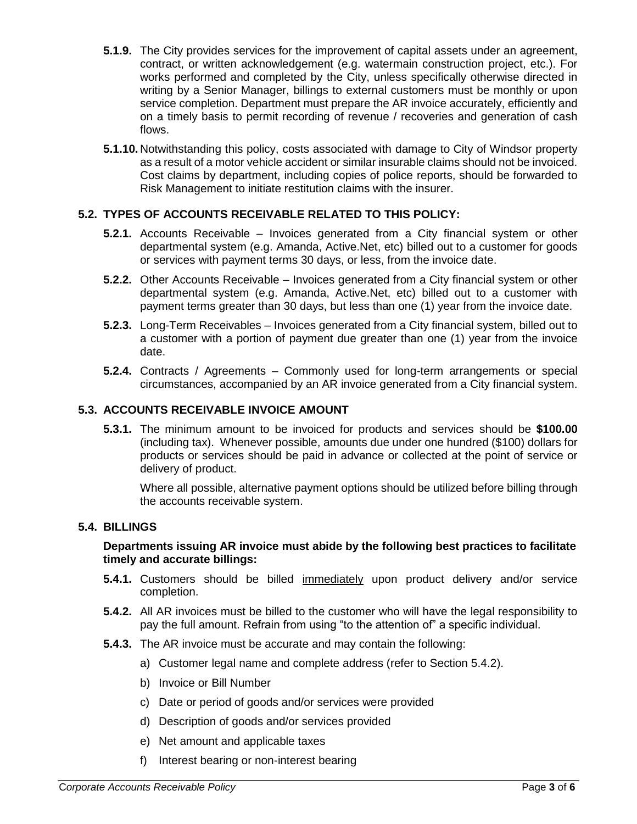- **5.1.9.** The City provides services for the improvement of capital assets under an agreement, contract, or written acknowledgement (e.g. watermain construction project, etc.). For works performed and completed by the City, unless specifically otherwise directed in writing by a Senior Manager, billings to external customers must be monthly or upon service completion. Department must prepare the AR invoice accurately, efficiently and on a timely basis to permit recording of revenue / recoveries and generation of cash flows.
- **5.1.10.** Notwithstanding this policy, costs associated with damage to City of Windsor property as a result of a motor vehicle accident or similar insurable claims should not be invoiced. Cost claims by department, including copies of police reports, should be forwarded to Risk Management to initiate restitution claims with the insurer.

# **5.2. TYPES OF ACCOUNTS RECEIVABLE RELATED TO THIS POLICY:**

- **5.2.1.** Accounts Receivable Invoices generated from a City financial system or other departmental system (e.g. Amanda, Active.Net, etc) billed out to a customer for goods or services with payment terms 30 days, or less, from the invoice date.
- **5.2.2.** Other Accounts Receivable Invoices generated from a City financial system or other departmental system (e.g. Amanda, Active.Net, etc) billed out to a customer with payment terms greater than 30 days, but less than one (1) year from the invoice date.
- **5.2.3.** Long-Term Receivables Invoices generated from a City financial system, billed out to a customer with a portion of payment due greater than one (1) year from the invoice date.
- **5.2.4.** Contracts / Agreements Commonly used for long-term arrangements or special circumstances, accompanied by an AR invoice generated from a City financial system.

## **5.3. ACCOUNTS RECEIVABLE INVOICE AMOUNT**

**5.3.1.** The minimum amount to be invoiced for products and services should be **\$100.00** (including tax). Whenever possible, amounts due under one hundred (\$100) dollars for products or services should be paid in advance or collected at the point of service or delivery of product.

Where all possible, alternative payment options should be utilized before billing through the accounts receivable system.

#### **5.4. BILLINGS**

#### **Departments issuing AR invoice must abide by the following best practices to facilitate timely and accurate billings:**

- **5.4.1.** Customers should be billed immediately upon product delivery and/or service completion.
- **5.4.2.** All AR invoices must be billed to the customer who will have the legal responsibility to pay the full amount. Refrain from using "to the attention of" a specific individual.
- **5.4.3.** The AR invoice must be accurate and may contain the following:
	- a) Customer legal name and complete address (refer to Section 5.4.2).
	- b) Invoice or Bill Number
	- c) Date or period of goods and/or services were provided
	- d) Description of goods and/or services provided
	- e) Net amount and applicable taxes
	- f) Interest bearing or non-interest bearing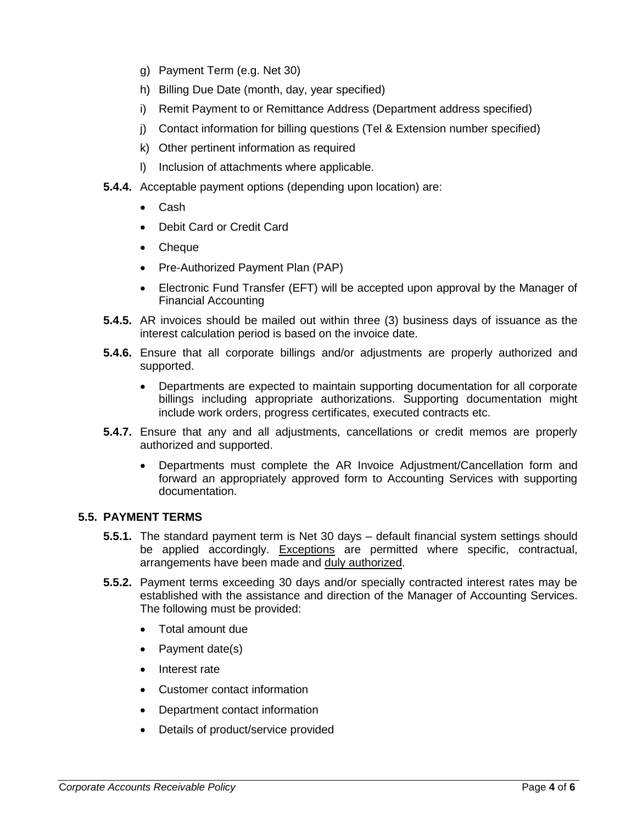- g) Payment Term (e.g. Net 30)
- h) Billing Due Date (month, day, year specified)
- i) Remit Payment to or Remittance Address (Department address specified)
- j) Contact information for billing questions (Tel & Extension number specified)
- k) Other pertinent information as required
- l) Inclusion of attachments where applicable.
- **5.4.4.** Acceptable payment options (depending upon location) are:
	- Cash
	- Debit Card or Credit Card
	- Cheque
	- Pre-Authorized Payment Plan (PAP)
	- Electronic Fund Transfer (EFT) will be accepted upon approval by the Manager of Financial Accounting
- **5.4.5.** AR invoices should be mailed out within three (3) business days of issuance as the interest calculation period is based on the invoice date.
- **5.4.6.** Ensure that all corporate billings and/or adjustments are properly authorized and supported.
	- Departments are expected to maintain supporting documentation for all corporate billings including appropriate authorizations. Supporting documentation might include work orders, progress certificates, executed contracts etc.
- **5.4.7.** Ensure that any and all adjustments, cancellations or credit memos are properly authorized and supported.
	- Departments must complete the AR Invoice Adjustment/Cancellation form and forward an appropriately approved form to Accounting Services with supporting documentation.

## **5.5. PAYMENT TERMS**

- **5.5.1.** The standard payment term is Net 30 days default financial system settings should be applied accordingly. Exceptions are permitted where specific, contractual, arrangements have been made and duly authorized.
- **5.5.2.** Payment terms exceeding 30 days and/or specially contracted interest rates may be established with the assistance and direction of the Manager of Accounting Services. The following must be provided:
	- Total amount due
	- Payment date(s)
	- Interest rate
	- Customer contact information
	- Department contact information
	- Details of product/service provided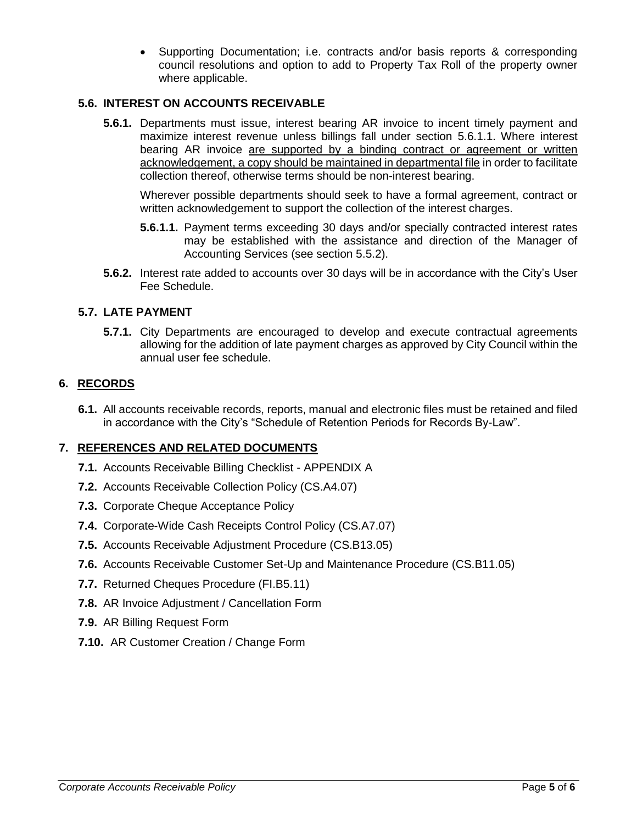Supporting Documentation; i.e. contracts and/or basis reports & corresponding council resolutions and option to add to Property Tax Roll of the property owner where applicable.

## **5.6. INTEREST ON ACCOUNTS RECEIVABLE**

**5.6.1.** Departments must issue, interest bearing AR invoice to incent timely payment and maximize interest revenue unless billings fall under section 5.6.1.1. Where interest bearing AR invoice are supported by a binding contract or agreement or written acknowledgement, a copy should be maintained in departmental file in order to facilitate collection thereof, otherwise terms should be non-interest bearing.

Wherever possible departments should seek to have a formal agreement, contract or written acknowledgement to support the collection of the interest charges.

- **5.6.1.1.** Payment terms exceeding 30 days and/or specially contracted interest rates may be established with the assistance and direction of the Manager of Accounting Services (see section 5.5.2).
- **5.6.2.** Interest rate added to accounts over 30 days will be in accordance with the City's User Fee Schedule.

## **5.7. LATE PAYMENT**

**5.7.1.** City Departments are encouraged to develop and execute contractual agreements allowing for the addition of late payment charges as approved by City Council within the annual user fee schedule.

## **6. RECORDS**

**6.1.** All accounts receivable records, reports, manual and electronic files must be retained and filed in accordance with the City's "Schedule of Retention Periods for Records By-Law".

## **7. REFERENCES AND RELATED DOCUMENTS**

- **7.1.** Accounts Receivable Billing Checklist APPENDIX A
- **7.2.** Accounts Receivable Collection Policy (CS.A4.07)
- **7.3.** Corporate Cheque Acceptance Policy
- **7.4.** Corporate-Wide Cash Receipts Control Policy (CS.A7.07)
- **7.5.** Accounts Receivable Adjustment Procedure (CS.B13.05)
- **7.6.** Accounts Receivable Customer Set-Up and Maintenance Procedure (CS.B11.05)
- **7.7.** Returned Cheques Procedure (FI.B5.11)
- **7.8.** AR Invoice Adjustment / Cancellation Form
- **7.9.** AR Billing Request Form
- **7.10.** AR Customer Creation / Change Form